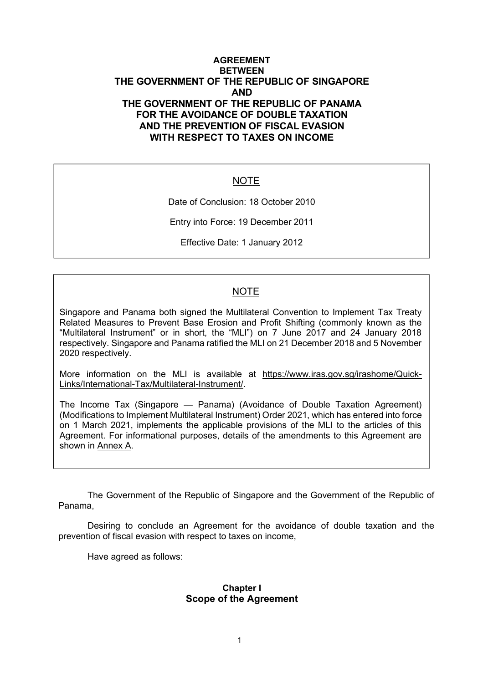## **AGREEMENT BETWEEN THE GOVERNMENT OF THE REPUBLIC OF SINGAPORE AND THE GOVERNMENT OF THE REPUBLIC OF PANAMA FOR THE AVOIDANCE OF DOUBLE TAXATION AND THE PREVENTION OF FISCAL EVASION WITH RESPECT TO TAXES ON INCOME**

## NOTE

Date of Conclusion: 18 October 2010

Entry into Force: 19 December 2011

Effective Date: 1 January 2012

## NOTE

Singapore and Panama both signed the Multilateral Convention to Implement Tax Treaty Related Measures to Prevent Base Erosion and Profit Shifting (commonly known as the "Multilateral Instrument" or in short, the "MLI") on 7 June 2017 and 24 January 2018 respectively. Singapore and Panama ratified the MLI on 21 December 2018 and 5 November 2020 respectively.

More information on the MLI is available at https://www.iras.gov.sg/irashome/Quick-Links/International-Tax/Multilateral-Instrument/.

The Income Tax (Singapore — Panama) (Avoidance of Double Taxation Agreement) (Modifications to Implement Multilateral Instrument) Order 2021, which has entered into force on 1 March 2021, implements the applicable provisions of the MLI to the articles of this Agreement. For informational purposes, details of the amendments to this Agreement are shown in Annex A.

The Government of the Republic of Singapore and the Government of the Republic of Panama,

Desiring to conclude an Agreement for the avoidance of double taxation and the prevention of fiscal evasion with respect to taxes on income,

Have agreed as follows:

#### **Chapter I Scope of the Agreement**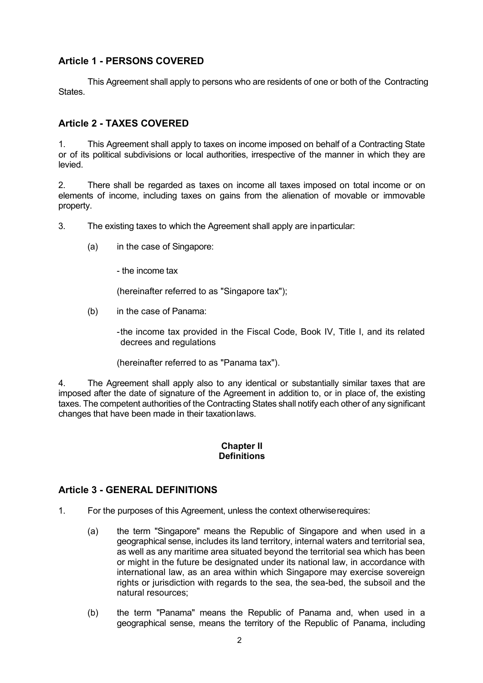# **Article 1 - PERSONS COVERED**

This Agreement shall apply to persons who are residents of one or both of the Contracting **States** 

# **Article 2 - TAXES COVERED**

1. This Agreement shall apply to taxes on income imposed on behalf of a Contracting State or of its political subdivisions or local authorities, irrespective of the manner in which they are levied.

2. There shall be regarded as taxes on income all taxes imposed on total income or on elements of income, including taxes on gains from the alienation of movable or immovable property.

3. The existing taxes to which the Agreement shall apply are inparticular:

- (a) in the case of Singapore:
	- the income tax

(hereinafter referred to as "Singapore tax");

(b) in the case of Panama:

-the income tax provided in the Fiscal Code, Book IV, Title I, and its related decrees and regulations

(hereinafter referred to as "Panama tax").

4. The Agreement shall apply also to any identical or substantially similar taxes that are imposed after the date of signature of the Agreement in addition to, or in place of, the existing taxes. The competent authorities of the Contracting States shall notify each other of any significant changes that have been made in their taxationlaws.

## **Chapter II Definitions**

# **Article 3 - GENERAL DEFINITIONS**

- 1. For the purposes of this Agreement, unless the context otherwiserequires:
	- (a) the term "Singapore" means the Republic of Singapore and when used in a geographical sense, includes its land territory, internal waters and territorial sea, as well as any maritime area situated beyond the territorial sea which has been or might in the future be designated under its national law, in accordance with international law, as an area within which Singapore may exercise sovereign rights or jurisdiction with regards to the sea, the sea-bed, the subsoil and the natural resources;
	- (b) the term "Panama" means the Republic of Panama and, when used in a geographical sense, means the territory of the Republic of Panama, including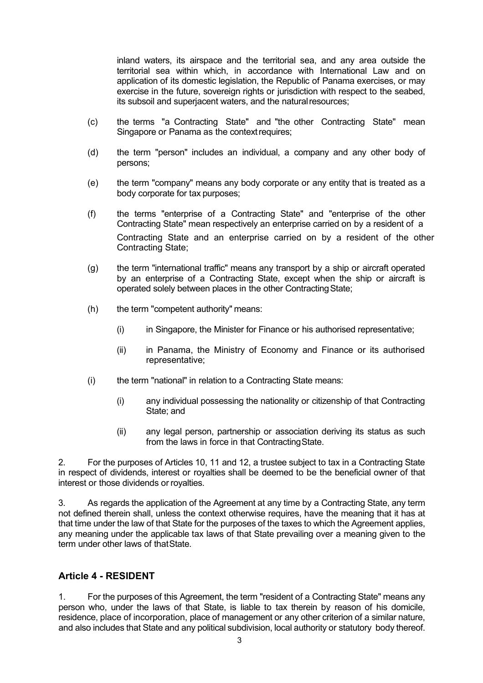inland waters, its airspace and the territorial sea, and any area outside the territorial sea within which, in accordance with International Law and on application of its domestic legislation, the Republic of Panama exercises, or may exercise in the future, sovereign rights or jurisdiction with respect to the seabed, its subsoil and superjacent waters, and the natural resources;

- (c) the terms "a Contracting State" and "the other Contracting State" mean Singapore or Panama as the context requires;
- (d) the term "person" includes an individual, a company and any other body of persons;
- (e) the term "company" means any body corporate or any entity that is treated as a body corporate for tax purposes;
- (f) the terms "enterprise of a Contracting State" and "enterprise of the other Contracting State" mean respectively an enterprise carried on by a resident of a Contracting State and an enterprise carried on by a resident of the other Contracting State;
- (g) the term "international traffic" means any transport by a ship or aircraft operated by an enterprise of a Contracting State, except when the ship or aircraft is operated solely between places in the other Contracting State;
- (h) the term "competent authority" means:
	- (i) in Singapore, the Minister for Finance or his authorised representative;
	- (ii) in Panama, the Ministry of Economy and Finance or its authorised representative;
- (i) the term "national" in relation to a Contracting State means:
	- (i) any individual possessing the nationality or citizenship of that Contracting State; and
	- (ii) any legal person, partnership or association deriving its status as such from the laws in force in that ContractingState.

2. For the purposes of Articles 10, 11 and 12, a trustee subject to tax in a Contracting State in respect of dividends, interest or royalties shall be deemed to be the beneficial owner of that interest or those dividends or royalties.

3. As regards the application of the Agreement at any time by a Contracting State, any term not defined therein shall, unless the context otherwise requires, have the meaning that it has at that time under the law of that State for the purposes of the taxes to which the Agreement applies, any meaning under the applicable tax laws of that State prevailing over a meaning given to the term under other laws of thatState.

## **Article 4 - RESIDENT**

1. For the purposes of this Agreement, the term "resident of a Contracting State" means any person who, under the laws of that State, is liable to tax therein by reason of his domicile, residence, place of incorporation, place of management or any other criterion of a similar nature, and also includes that State and any political subdivision, local authority or statutory body thereof.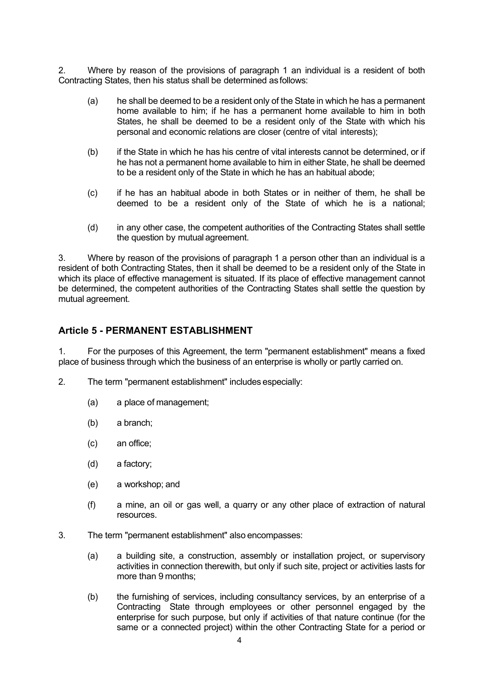2. Where by reason of the provisions of paragraph 1 an individual is a resident of both Contracting States, then his status shall be determined asfollows:

- (a) he shall be deemed to be a resident only of the State in which he has a permanent home available to him; if he has a permanent home available to him in both States, he shall be deemed to be a resident only of the State with which his personal and economic relations are closer (centre of vital interests);
- (b) if the State in which he has his centre of vital interests cannot be determined, or if he has not a permanent home available to him in either State, he shall be deemed to be a resident only of the State in which he has an habitual abode;
- (c) if he has an habitual abode in both States or in neither of them, he shall be deemed to be a resident only of the State of which he is a national;
- (d) in any other case, the competent authorities of the Contracting States shall settle the question by mutual agreement.

3. Where by reason of the provisions of paragraph 1 a person other than an individual is a resident of both Contracting States, then it shall be deemed to be a resident only of the State in which its place of effective management is situated. If its place of effective management cannot be determined, the competent authorities of the Contracting States shall settle the question by mutual agreement.

#### **Article 5 - PERMANENT ESTABLISHMENT**

1. For the purposes of this Agreement, the term "permanent establishment" means a fixed place of business through which the business of an enterprise is wholly or partly carried on.

- 2. The term "permanent establishment" includes especially:
	- (a) a place of management;
	- (b) a branch;
	- (c) an office;
	- (d) a factory;
	- (e) a workshop; and
	- (f) a mine, an oil or gas well, a quarry or any other place of extraction of natural resources.
- 3. The term "permanent establishment" also encompasses:
	- (a) a building site, a construction, assembly or installation project, or supervisory activities in connection therewith, but only if such site, project or activities lasts for more than 9 months;
	- (b) the furnishing of services, including consultancy services, by an enterprise of a Contracting State through employees or other personnel engaged by the enterprise for such purpose, but only if activities of that nature continue (for the same or a connected project) within the other Contracting State for a period or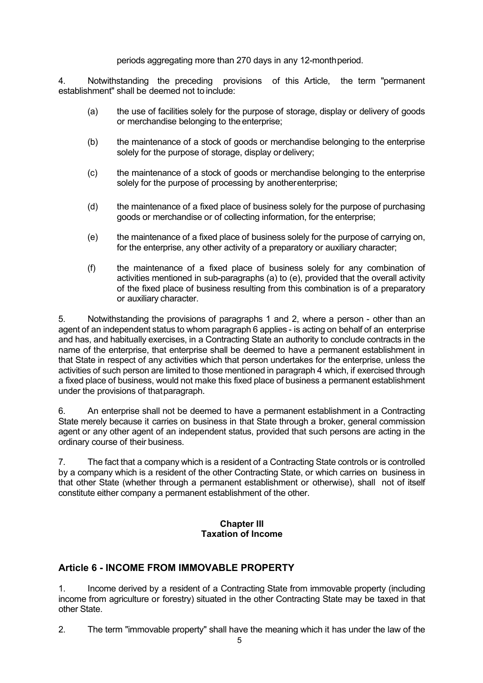#### periods aggregating more than 270 days in any 12-monthperiod.

4. Notwithstanding the preceding provisions of this Article, the term "permanent establishment" shall be deemed not to include:

- (a) the use of facilities solely for the purpose of storage, display or delivery of goods or merchandise belonging to the enterprise;
- (b) the maintenance of a stock of goods or merchandise belonging to the enterprise solely for the purpose of storage, display or delivery;
- (c) the maintenance of a stock of goods or merchandise belonging to the enterprise solely for the purpose of processing by anotherenterprise;
- (d) the maintenance of a fixed place of business solely for the purpose of purchasing goods or merchandise or of collecting information, for the enterprise;
- (e) the maintenance of a fixed place of business solely for the purpose of carrying on, for the enterprise, any other activity of a preparatory or auxiliary character;
- (f) the maintenance of a fixed place of business solely for any combination of activities mentioned in sub-paragraphs (a) to (e), provided that the overall activity of the fixed place of business resulting from this combination is of a preparatory or auxiliary character.

5. Notwithstanding the provisions of paragraphs 1 and 2, where a person - other than an agent of an independent status to whom paragraph 6 applies - is acting on behalf of an enterprise and has, and habitually exercises, in a Contracting State an authority to conclude contracts in the name of the enterprise, that enterprise shall be deemed to have a permanent establishment in that State in respect of any activities which that person undertakes for the enterprise, unless the activities of such person are limited to those mentioned in paragraph 4 which, if exercised through a fixed place of business, would not make this fixed place of business a permanent establishment under the provisions of thatparagraph.

6. An enterprise shall not be deemed to have a permanent establishment in a Contracting State merely because it carries on business in that State through a broker, general commission agent or any other agent of an independent status, provided that such persons are acting in the ordinary course of their business.

7. The fact that a company which is a resident of a Contracting State controls or is controlled by a company which is a resident of the other Contracting State, or which carries on business in that other State (whether through a permanent establishment or otherwise), shall not of itself constitute either company a permanent establishment of the other.

#### **Chapter III Taxation of Income**

## **Article 6 - INCOME FROM IMMOVABLE PROPERTY**

1. Income derived by a resident of a Contracting State from immovable property (including income from agriculture or forestry) situated in the other Contracting State may be taxed in that other State.

2. The term "immovable property" shall have the meaning which it has under the law of the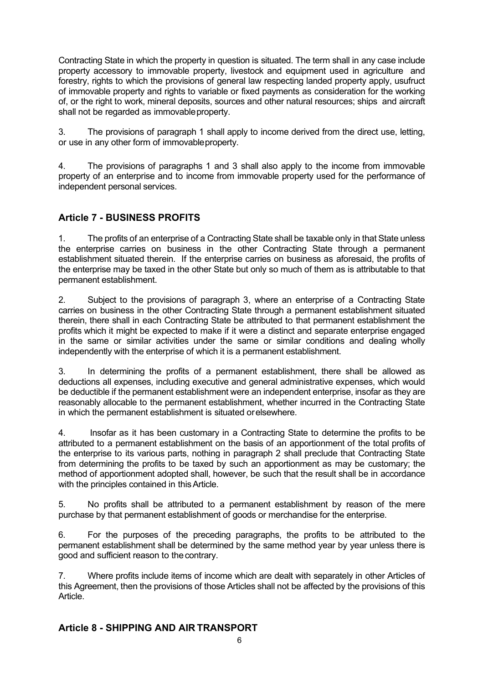Contracting State in which the property in question is situated. The term shall in any case include property accessory to immovable property, livestock and equipment used in agriculture and forestry, rights to which the provisions of general law respecting landed property apply, usufruct of immovable property and rights to variable or fixed payments as consideration for the working of, or the right to work, mineral deposits, sources and other natural resources; ships and aircraft shall not be regarded as immovable property.

3. The provisions of paragraph 1 shall apply to income derived from the direct use, letting, or use in any other form of immovableproperty.

4. The provisions of paragraphs 1 and 3 shall also apply to the income from immovable property of an enterprise and to income from immovable property used for the performance of independent personal services.

# **Article 7 - BUSINESS PROFITS**

1. The profits of an enterprise of a Contracting State shall be taxable only in that State unless the enterprise carries on business in the other Contracting State through a permanent establishment situated therein. If the enterprise carries on business as aforesaid, the profits of the enterprise may be taxed in the other State but only so much of them as is attributable to that permanent establishment.

2. Subject to the provisions of paragraph 3, where an enterprise of a Contracting State carries on business in the other Contracting State through a permanent establishment situated therein, there shall in each Contracting State be attributed to that permanent establishment the profits which it might be expected to make if it were a distinct and separate enterprise engaged in the same or similar activities under the same or similar conditions and dealing wholly independently with the enterprise of which it is a permanent establishment.

3. In determining the profits of a permanent establishment, there shall be allowed as deductions all expenses, including executive and general administrative expenses, which would be deductible if the permanent establishment were an independent enterprise, insofar as they are reasonably allocable to the permanent establishment, whether incurred in the Contracting State in which the permanent establishment is situated orelsewhere.

4. Insofar as it has been customary in a Contracting State to determine the profits to be attributed to a permanent establishment on the basis of an apportionment of the total profits of the enterprise to its various parts, nothing in paragraph 2 shall preclude that Contracting State from determining the profits to be taxed by such an apportionment as may be customary; the method of apportionment adopted shall, however, be such that the result shall be in accordance with the principles contained in this Article.

5. No profits shall be attributed to a permanent establishment by reason of the mere purchase by that permanent establishment of goods or merchandise for the enterprise.

6. For the purposes of the preceding paragraphs, the profits to be attributed to the permanent establishment shall be determined by the same method year by year unless there is good and sufficient reason to thecontrary.

7. Where profits include items of income which are dealt with separately in other Articles of this Agreement, then the provisions of those Articles shall not be affected by the provisions of this Article.

# **Article 8 - SHIPPING AND AIR TRANSPORT**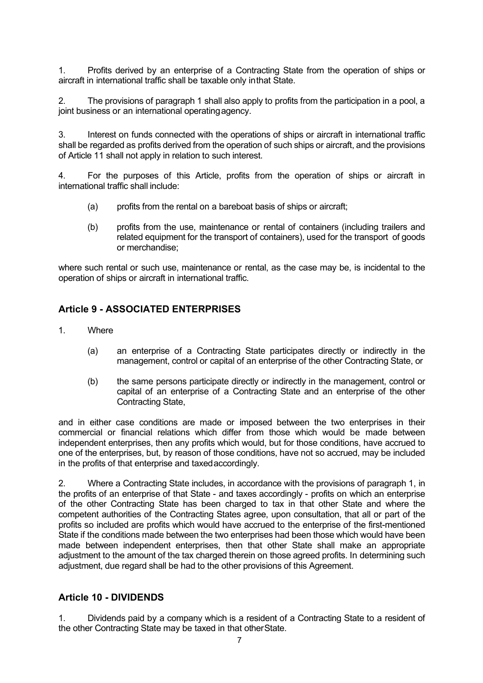1. Profits derived by an enterprise of a Contracting State from the operation of ships or aircraft in international traffic shall be taxable only inthat State.

2. The provisions of paragraph 1 shall also apply to profits from the participation in a pool, a joint business or an international operating agency.

3. Interest on funds connected with the operations of ships or aircraft in international traffic shall be regarded as profits derived from the operation of such ships or aircraft, and the provisions of Article 11 shall not apply in relation to such interest.

4. For the purposes of this Article, profits from the operation of ships or aircraft in international traffic shall include:

- (a) profits from the rental on a bareboat basis of ships or aircraft;
- (b) profits from the use, maintenance or rental of containers (including trailers and related equipment for the transport of containers), used for the transport of goods or merchandise;

where such rental or such use, maintenance or rental, as the case may be, is incidental to the operation of ships or aircraft in international traffic.

# **Article 9 - ASSOCIATED ENTERPRISES**

- 1. Where
	- (a) an enterprise of a Contracting State participates directly or indirectly in the management, control or capital of an enterprise of the other Contracting State, or
	- (b) the same persons participate directly or indirectly in the management, control or capital of an enterprise of a Contracting State and an enterprise of the other Contracting State,

and in either case conditions are made or imposed between the two enterprises in their commercial or financial relations which differ from those which would be made between independent enterprises, then any profits which would, but for those conditions, have accrued to one of the enterprises, but, by reason of those conditions, have not so accrued, may be included in the profits of that enterprise and taxedaccordingly.

2. Where a Contracting State includes, in accordance with the provisions of paragraph 1, in the profits of an enterprise of that State - and taxes accordingly - profits on which an enterprise of the other Contracting State has been charged to tax in that other State and where the competent authorities of the Contracting States agree, upon consultation, that all or part of the profits so included are profits which would have accrued to the enterprise of the first-mentioned State if the conditions made between the two enterprises had been those which would have been made between independent enterprises, then that other State shall make an appropriate adjustment to the amount of the tax charged therein on those agreed profits. In determining such adjustment, due regard shall be had to the other provisions of this Agreement.

## **Article 10 - DIVIDENDS**

1. Dividends paid by a company which is a resident of a Contracting State to a resident of the other Contracting State may be taxed in that otherState.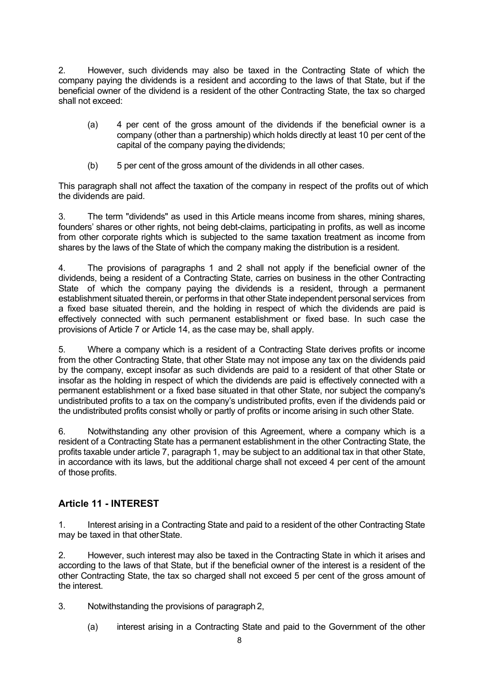2. However, such dividends may also be taxed in the Contracting State of which the company paying the dividends is a resident and according to the laws of that State, but if the beneficial owner of the dividend is a resident of the other Contracting State, the tax so charged shall not exceed:

- (a) 4 per cent of the gross amount of the dividends if the beneficial owner is a company (other than a partnership) which holds directly at least 10 per cent of the capital of the company paying thedividends;
- (b) 5 per cent of the gross amount of the dividends in all other cases.

This paragraph shall not affect the taxation of the company in respect of the profits out of which the dividends are paid.

3. The term "dividends" as used in this Article means income from shares, mining shares, founders' shares or other rights, not being debt-claims, participating in profits, as well as income from other corporate rights which is subjected to the same taxation treatment as income from shares by the laws of the State of which the company making the distribution is a resident.

4. The provisions of paragraphs 1 and 2 shall not apply if the beneficial owner of the dividends, being a resident of a Contracting State, carries on business in the other Contracting State of which the company paying the dividends is a resident, through a permanent establishment situated therein, or performs in that other State independent personal services from a fixed base situated therein, and the holding in respect of which the dividends are paid is effectively connected with such permanent establishment or fixed base. In such case the provisions of Article 7 or Article 14, as the case may be, shall apply.

5. Where a company which is a resident of a Contracting State derives profits or income from the other Contracting State, that other State may not impose any tax on the dividends paid by the company, except insofar as such dividends are paid to a resident of that other State or insofar as the holding in respect of which the dividends are paid is effectively connected with a permanent establishment or a fixed base situated in that other State, nor subject the company's undistributed profits to a tax on the company's undistributed profits, even if the dividends paid or the undistributed profits consist wholly or partly of profits or income arising in such other State.

6. Notwithstanding any other provision of this Agreement, where a company which is a resident of a Contracting State has a permanent establishment in the other Contracting State, the profits taxable under article 7, paragraph 1, may be subject to an additional tax in that other State, in accordance with its laws, but the additional charge shall not exceed 4 per cent of the amount of those profits.

# **Article 11 - INTEREST**

1. Interest arising in a Contracting State and paid to a resident of the other Contracting State may be taxed in that other State.

2. However, such interest may also be taxed in the Contracting State in which it arises and according to the laws of that State, but if the beneficial owner of the interest is a resident of the other Contracting State, the tax so charged shall not exceed 5 per cent of the gross amount of the interest.

3. Notwithstanding the provisions of paragraph 2,

(a) interest arising in a Contracting State and paid to the Government of the other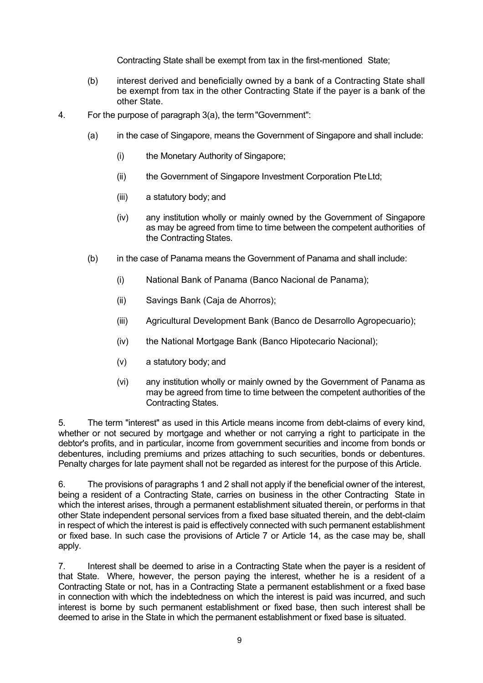Contracting State shall be exempt from tax in the first-mentioned State;

- (b) interest derived and beneficially owned by a bank of a Contracting State shall be exempt from tax in the other Contracting State if the payer is a bank of the other State.
- 4. For the purpose of paragraph 3(a), the term"Government":
	- (a) in the case of Singapore, means the Government of Singapore and shall include:
		- (i) the Monetary Authority of Singapore;
		- (ii) the Government of Singapore Investment Corporation PteLtd;
		- (iii) a statutory body; and
		- (iv) any institution wholly or mainly owned by the Government of Singapore as may be agreed from time to time between the competent authorities of the Contracting States.
	- (b) in the case of Panama means the Government of Panama and shall include:
		- (i) National Bank of Panama (Banco Nacional de Panama);
		- (ii) Savings Bank (Caja de Ahorros);
		- (iii) Agricultural Development Bank (Banco de Desarrollo Agropecuario);
		- (iv) the National Mortgage Bank (Banco Hipotecario Nacional);
		- (v) a statutory body; and
		- (vi) any institution wholly or mainly owned by the Government of Panama as may be agreed from time to time between the competent authorities of the Contracting States.

5. The term "interest" as used in this Article means income from debt-claims of every kind, whether or not secured by mortgage and whether or not carrying a right to participate in the debtor's profits, and in particular, income from government securities and income from bonds or debentures, including premiums and prizes attaching to such securities, bonds or debentures. Penalty charges for late payment shall not be regarded as interest for the purpose of this Article.

6. The provisions of paragraphs 1 and 2 shall not apply if the beneficial owner of the interest, being a resident of a Contracting State, carries on business in the other Contracting State in which the interest arises, through a permanent establishment situated therein, or performs in that other State independent personal services from a fixed base situated therein, and the debt-claim in respect of which the interest is paid is effectively connected with such permanent establishment or fixed base. In such case the provisions of Article 7 or Article 14, as the case may be, shall apply.

7. Interest shall be deemed to arise in a Contracting State when the payer is a resident of that State. Where, however, the person paying the interest, whether he is a resident of a Contracting State or not, has in a Contracting State a permanent establishment or a fixed base in connection with which the indebtedness on which the interest is paid was incurred, and such interest is borne by such permanent establishment or fixed base, then such interest shall be deemed to arise in the State in which the permanent establishment or fixed base is situated.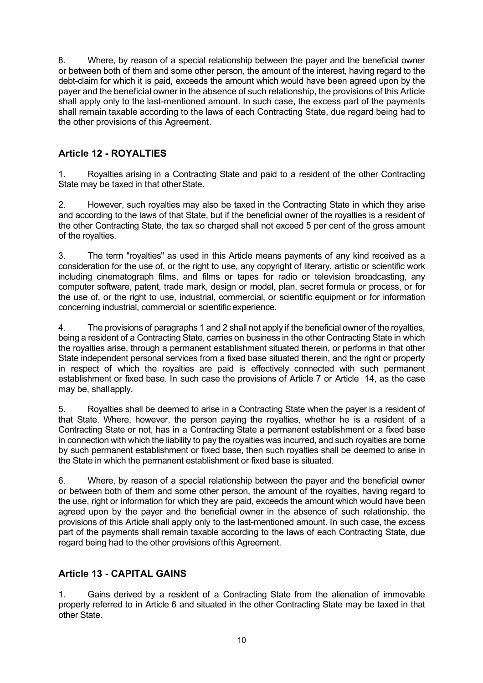8. Where, by reason of a special relationship between the payer and the beneficial owner or between both of them and some other person, the amount of the interest, having regard to the debt-claim for which it is paid, exceeds the amount which would have been agreed upon by the payer and the beneficial owner in the absence of such relationship, the provisions of this Article shall apply only to the last-mentioned amount. In such case, the excess part of the payments shall remain taxable according to the laws of each Contracting State, due regard being had to the other provisions of this Agreement.

# **Article 12 - ROYALTIES**

1. Royalties arising in a Contracting State and paid to a resident of the other Contracting State may be taxed in that otherState.

2. However, such royalties may also be taxed in the Contracting State in which they arise and according to the laws of that State, but if the beneficial owner of the royalties is a resident of the other Contracting State, the tax so charged shall not exceed 5 per cent of the gross amount of the royalties.

3. The term "royalties" as used in this Article means payments of any kind received as a consideration for the use of, or the right to use, any copyright of literary, artistic or scientific work including cinematograph films, and films or tapes for radio or television broadcasting, any computer software, patent, trade mark, design or model, plan, secret formula or process, or for the use of, or the right to use, industrial, commercial, or scientific equipment or for information concerning industrial, commercial or scientific experience.

4. The provisions of paragraphs 1 and 2 shall not apply if the beneficial owner of the royalties, being a resident of a Contracting State, carries on business in the other Contracting State in which the royalties arise, through a permanent establishment situated therein, or performs in that other State independent personal services from a fixed base situated therein, and the right or property in respect of which the royalties are paid is effectively connected with such permanent establishment or fixed base. In such case the provisions of Article 7 or Article 14, as the case may be, shallapply.

5. Royalties shall be deemed to arise in a Contracting State when the payer is a resident of that State. Where, however, the person paying the royalties, whether he is a resident of a Contracting State or not, has in a Contracting State a permanent establishment or a fixed base in connection with which the liability to pay the royalties was incurred, and such royalties are borne by such permanent establishment or fixed base, then such royalties shall be deemed to arise in the State in which the permanent establishment or fixed base is situated.

6. Where, by reason of a special relationship between the payer and the beneficial owner or between both of them and some other person, the amount of the royalties, having regard to the use, right or information for which they are paid, exceeds the amount which would have been agreed upon by the payer and the beneficial owner in the absence of such relationship, the provisions of this Article shall apply only to the last-mentioned amount. In such case, the excess part of the payments shall remain taxable according to the laws of each Contracting State, due regard being had to the other provisions ofthis Agreement.

# **Article 13 - CAPITAL GAINS**

1. Gains derived by a resident of a Contracting State from the alienation of immovable property referred to in Article 6 and situated in the other Contracting State may be taxed in that other State.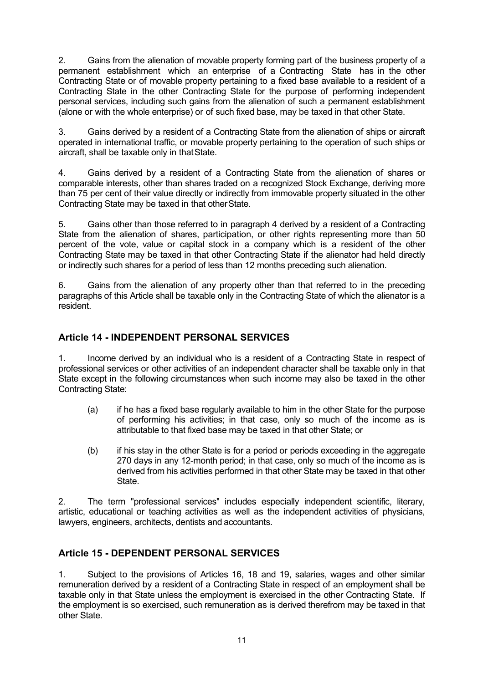2. Gains from the alienation of movable property forming part of the business property of a permanent establishment which an enterprise of a Contracting State has in the other Contracting State or of movable property pertaining to a fixed base available to a resident of a Contracting State in the other Contracting State for the purpose of performing independent personal services, including such gains from the alienation of such a permanent establishment (alone or with the whole enterprise) or of such fixed base, may be taxed in that other State.

3. Gains derived by a resident of a Contracting State from the alienation of ships or aircraft operated in international traffic, or movable property pertaining to the operation of such ships or aircraft, shall be taxable only in thatState.

4. Gains derived by a resident of a Contracting State from the alienation of shares or comparable interests, other than shares traded on a recognized Stock Exchange, deriving more than 75 per cent of their value directly or indirectly from immovable property situated in the other Contracting State may be taxed in that otherState.

5. Gains other than those referred to in paragraph 4 derived by a resident of a Contracting State from the alienation of shares, participation, or other rights representing more than 50 percent of the vote, value or capital stock in a company which is a resident of the other Contracting State may be taxed in that other Contracting State if the alienator had held directly or indirectly such shares for a period of less than 12 months preceding such alienation.

6. Gains from the alienation of any property other than that referred to in the preceding paragraphs of this Article shall be taxable only in the Contracting State of which the alienator is a resident.

# **Article 14 - INDEPENDENT PERSONAL SERVICES**

1. Income derived by an individual who is a resident of a Contracting State in respect of professional services or other activities of an independent character shall be taxable only in that State except in the following circumstances when such income may also be taxed in the other Contracting State:

- (a) if he has a fixed base regularly available to him in the other State for the purpose of performing his activities; in that case, only so much of the income as is attributable to that fixed base may be taxed in that other State; or
- (b) if his stay in the other State is for a period or periods exceeding in the aggregate 270 days in any 12-month period; in that case, only so much of the income as is derived from his activities performed in that other State may be taxed in that other State.

2. The term "professional services" includes especially independent scientific, literary, artistic, educational or teaching activities as well as the independent activities of physicians, lawyers, engineers, architects, dentists and accountants.

# **Article 15 - DEPENDENT PERSONAL SERVICES**

1. Subject to the provisions of Articles 16, 18 and 19, salaries, wages and other similar remuneration derived by a resident of a Contracting State in respect of an employment shall be taxable only in that State unless the employment is exercised in the other Contracting State. If the employment is so exercised, such remuneration as is derived therefrom may be taxed in that other State.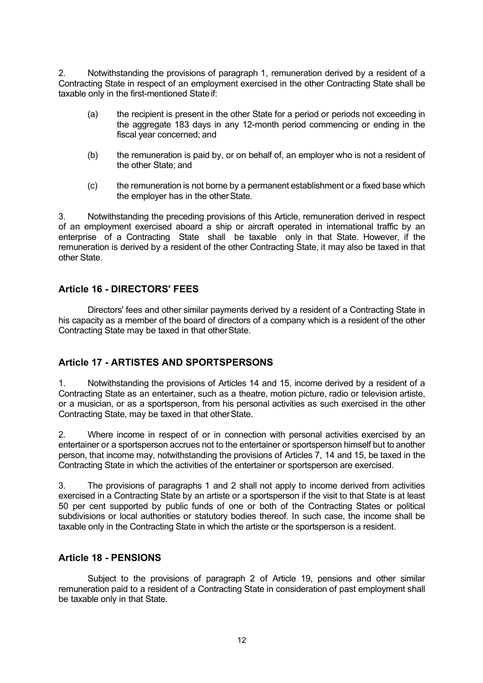2. Notwithstanding the provisions of paragraph 1, remuneration derived by a resident of a Contracting State in respect of an employment exercised in the other Contracting State shall be taxable only in the first-mentioned Stateif:

- (a) the recipient is present in the other State for a period or periods not exceeding in the aggregate 183 days in any 12-month period commencing or ending in the fiscal year concerned; and
- (b) the remuneration is paid by, or on behalf of, an employer who is not a resident of the other State; and
- (c) the remuneration is not borne by a permanent establishment or a fixed base which the employer has in the otherState.

3. Notwithstanding the preceding provisions of this Article, remuneration derived in respect of an employment exercised aboard a ship or aircraft operated in international traffic by an enterprise of a Contracting State shall be taxable only in that State. However, if the remuneration is derived by a resident of the other Contracting State, it may also be taxed in that other State.

## **Article 16 - DIRECTORS' FEES**

Directors' fees and other similar payments derived by a resident of a Contracting State in his capacity as a member of the board of directors of a company which is a resident of the other Contracting State may be taxed in that otherState.

## **Article 17 - ARTISTES AND SPORTSPERSONS**

1. Notwithstanding the provisions of Articles 14 and 15, income derived by a resident of a Contracting State as an entertainer, such as a theatre, motion picture, radio or television artiste, or a musician, or as a sportsperson, from his personal activities as such exercised in the other Contracting State, may be taxed in that otherState.

2. Where income in respect of or in connection with personal activities exercised by an entertainer or a sportsperson accrues not to the entertainer or sportsperson himself but to another person, that income may, notwithstanding the provisions of Articles 7, 14 and 15, be taxed in the Contracting State in which the activities of the entertainer or sportsperson are exercised.

3. The provisions of paragraphs 1 and 2 shall not apply to income derived from activities exercised in a Contracting State by an artiste or a sportsperson if the visit to that State is at least 50 per cent supported by public funds of one or both of the Contracting States or political subdivisions or local authorities or statutory bodies thereof. In such case, the income shall be taxable only in the Contracting State in which the artiste or the sportsperson is a resident.

#### **Article 18 - PENSIONS**

Subject to the provisions of paragraph 2 of Article 19, pensions and other similar remuneration paid to a resident of a Contracting State in consideration of past employment shall be taxable only in that State.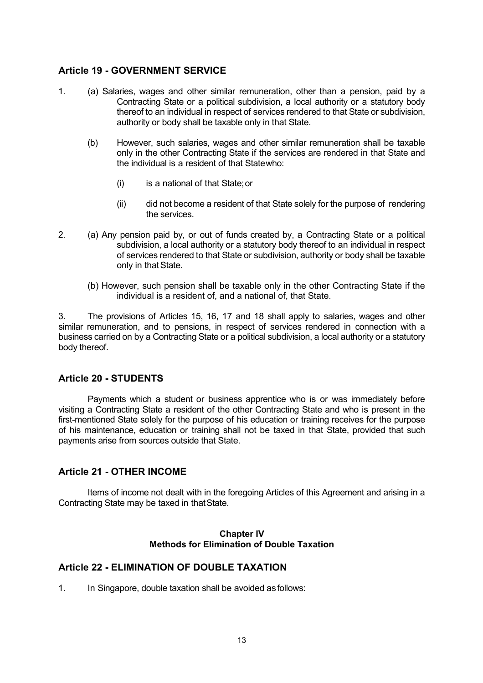## **Article 19 - GOVERNMENT SERVICE**

- 1. (a) Salaries, wages and other similar remuneration, other than a pension, paid by a Contracting State or a political subdivision, a local authority or a statutory body thereof to an individual in respect of services rendered to that State or subdivision, authority or body shall be taxable only in that State.
	- (b) However, such salaries, wages and other similar remuneration shall be taxable only in the other Contracting State if the services are rendered in that State and the individual is a resident of that Statewho:
		- (i) is a national of that State;or
		- (ii) did not become a resident of that State solely for the purpose of rendering the services.
- 2. (a) Any pension paid by, or out of funds created by, a Contracting State or a political subdivision, a local authority or a statutory body thereof to an individual in respect of services rendered to that State or subdivision, authority or body shall be taxable only in that State.
	- (b) However, such pension shall be taxable only in the other Contracting State if the individual is a resident of, and a national of, that State.

3. The provisions of Articles 15, 16, 17 and 18 shall apply to salaries, wages and other similar remuneration, and to pensions, in respect of services rendered in connection with a business carried on by a Contracting State or a political subdivision, a local authority or a statutory body thereof.

## **Article 20 - STUDENTS**

Payments which a student or business apprentice who is or was immediately before visiting a Contracting State a resident of the other Contracting State and who is present in the first-mentioned State solely for the purpose of his education or training receives for the purpose of his maintenance, education or training shall not be taxed in that State, provided that such payments arise from sources outside that State.

#### **Article 21 - OTHER INCOME**

Items of income not dealt with in the foregoing Articles of this Agreement and arising in a Contracting State may be taxed in thatState.

#### **Chapter IV Methods for Elimination of Double Taxation**

## **Article 22 - ELIMINATION OF DOUBLE TAXATION**

1. In Singapore, double taxation shall be avoided asfollows: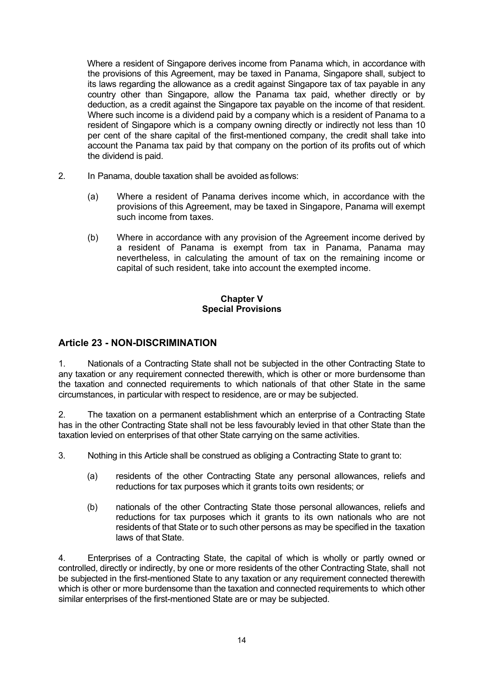Where a resident of Singapore derives income from Panama which, in accordance with the provisions of this Agreement, may be taxed in Panama, Singapore shall, subject to its laws regarding the allowance as a credit against Singapore tax of tax payable in any country other than Singapore, allow the Panama tax paid, whether directly or by deduction, as a credit against the Singapore tax payable on the income of that resident. Where such income is a dividend paid by a company which is a resident of Panama to a resident of Singapore which is a company owning directly or indirectly not less than 10 per cent of the share capital of the first-mentioned company, the credit shall take into account the Panama tax paid by that company on the portion of its profits out of which the dividend is paid.

- 2. In Panama, double taxation shall be avoided asfollows:
	- (a) Where a resident of Panama derives income which, in accordance with the provisions of this Agreement, may be taxed in Singapore, Panama will exempt such income from taxes.
	- (b) Where in accordance with any provision of the Agreement income derived by a resident of Panama is exempt from tax in Panama, Panama may nevertheless, in calculating the amount of tax on the remaining income or capital of such resident, take into account the exempted income.

#### **Chapter V Special Provisions**

## **Article 23 - NON-DISCRIMINATION**

1. Nationals of a Contracting State shall not be subjected in the other Contracting State to any taxation or any requirement connected therewith, which is other or more burdensome than the taxation and connected requirements to which nationals of that other State in the same circumstances, in particular with respect to residence, are or may be subjected.

2. The taxation on a permanent establishment which an enterprise of a Contracting State has in the other Contracting State shall not be less favourably levied in that other State than the taxation levied on enterprises of that other State carrying on the same activities.

3. Nothing in this Article shall be construed as obliging a Contracting State to grant to:

- (a) residents of the other Contracting State any personal allowances, reliefs and reductions for tax purposes which it grants toits own residents; or
- (b) nationals of the other Contracting State those personal allowances, reliefs and reductions for tax purposes which it grants to its own nationals who are not residents of that State or to such other persons as may be specified in the taxation laws of that State.

4. Enterprises of a Contracting State, the capital of which is wholly or partly owned or controlled, directly or indirectly, by one or more residents of the other Contracting State, shall not be subjected in the first-mentioned State to any taxation or any requirement connected therewith which is other or more burdensome than the taxation and connected requirements to which other similar enterprises of the first-mentioned State are or may be subjected.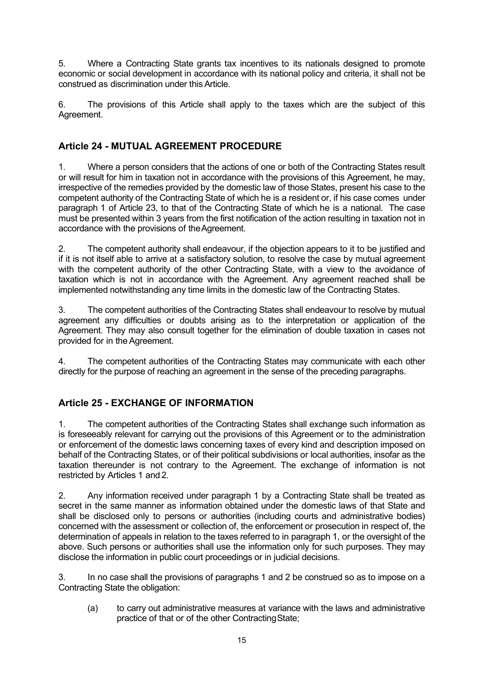5. Where a Contracting State grants tax incentives to its nationals designed to promote economic or social development in accordance with its national policy and criteria, it shall not be construed as discrimination under thisArticle.

6. The provisions of this Article shall apply to the taxes which are the subject of this Agreement.

# **Article 24 - MUTUAL AGREEMENT PROCEDURE**

1. Where a person considers that the actions of one or both of the Contracting States result or will result for him in taxation not in accordance with the provisions of this Agreement, he may, irrespective of the remedies provided by the domestic law of those States, present his case to the competent authority of the Contracting State of which he is a resident or, if his case comes under paragraph 1 of Article 23, to that of the Contracting State of which he is a national. The case must be presented within 3 years from the first notification of the action resulting in taxation not in accordance with the provisions of theAgreement.

2. The competent authority shall endeavour, if the objection appears to it to be justified and if it is not itself able to arrive at a satisfactory solution, to resolve the case by mutual agreement with the competent authority of the other Contracting State, with a view to the avoidance of taxation which is not in accordance with the Agreement. Any agreement reached shall be implemented notwithstanding any time limits in the domestic law of the Contracting States.

3. The competent authorities of the Contracting States shall endeavour to resolve by mutual agreement any difficulties or doubts arising as to the interpretation or application of the Agreement. They may also consult together for the elimination of double taxation in cases not provided for in theAgreement.

4. The competent authorities of the Contracting States may communicate with each other directly for the purpose of reaching an agreement in the sense of the preceding paragraphs.

# **Article 25 - EXCHANGE OF INFORMATION**

1. The competent authorities of the Contracting States shall exchange such information as is foreseeably relevant for carrying out the provisions of this Agreement or to the administration or enforcement of the domestic laws concerning taxes of every kind and description imposed on behalf of the Contracting States, or of their political subdivisions or local authorities, insofar as the taxation thereunder is not contrary to the Agreement. The exchange of information is not restricted by Articles 1 and 2.

2. Any information received under paragraph 1 by a Contracting State shall be treated as secret in the same manner as information obtained under the domestic laws of that State and shall be disclosed only to persons or authorities (including courts and administrative bodies) concerned with the assessment or collection of, the enforcement or prosecution in respect of, the determination of appeals in relation to the taxes referred to in paragraph 1, or the oversight of the above. Such persons or authorities shall use the information only for such purposes. They may disclose the information in public court proceedings or in judicial decisions.

3. In no case shall the provisions of paragraphs 1 and 2 be construed so as to impose on a Contracting State the obligation:

(a) to carry out administrative measures at variance with the laws and administrative practice of that or of the other ContractingState;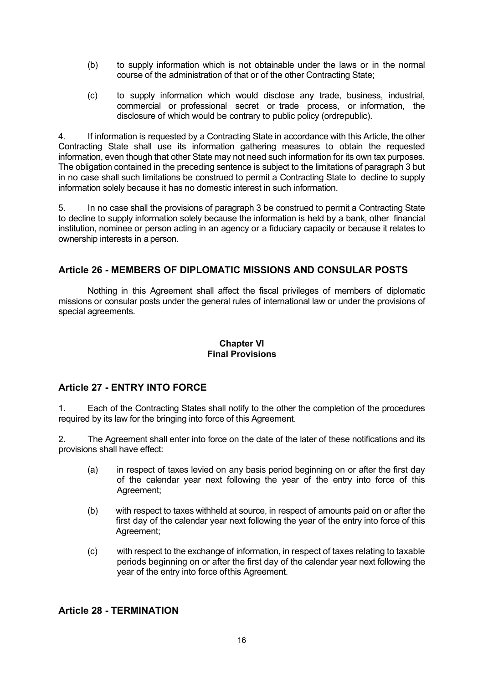- (b) to supply information which is not obtainable under the laws or in the normal course of the administration of that or of the other Contracting State;
- (c) to supply information which would disclose any trade, business, industrial, commercial or professional secret or trade process, or information, the disclosure of which would be contrary to public policy (ordrepublic).

4. If information is requested by a Contracting State in accordance with this Article, the other Contracting State shall use its information gathering measures to obtain the requested information, even though that other State may not need such information for its own tax purposes. The obligation contained in the preceding sentence is subject to the limitations of paragraph 3 but in no case shall such limitations be construed to permit a Contracting State to decline to supply information solely because it has no domestic interest in such information.

5. In no case shall the provisions of paragraph 3 be construed to permit a Contracting State to decline to supply information solely because the information is held by a bank, other financial institution, nominee or person acting in an agency or a fiduciary capacity or because it relates to ownership interests in a person.

# **Article 26 - MEMBERS OF DIPLOMATIC MISSIONS AND CONSULAR POSTS**

Nothing in this Agreement shall affect the fiscal privileges of members of diplomatic missions or consular posts under the general rules of international law or under the provisions of special agreements.

#### **Chapter VI Final Provisions**

## **Article 27 - ENTRY INTO FORCE**

1. Each of the Contracting States shall notify to the other the completion of the procedures required by its law for the bringing into force of this Agreement.

2. The Agreement shall enter into force on the date of the later of these notifications and its provisions shall have effect:

- (a) in respect of taxes levied on any basis period beginning on or after the first day of the calendar year next following the year of the entry into force of this Agreement;
- (b) with respect to taxes withheld at source, in respect of amounts paid on or after the first day of the calendar year next following the year of the entry into force of this Agreement;
- (c) with respect to the exchange of information, in respect of taxes relating to taxable periods beginning on or after the first day of the calendar year next following the year of the entry into force ofthis Agreement.

## **Article 28 - TERMINATION**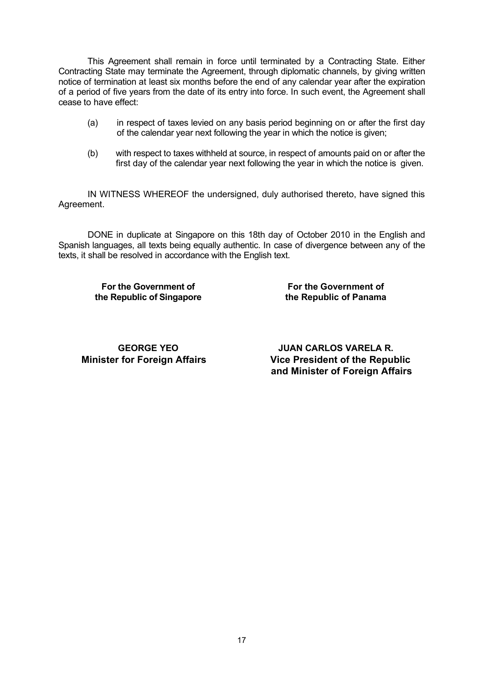This Agreement shall remain in force until terminated by a Contracting State. Either Contracting State may terminate the Agreement, through diplomatic channels, by giving written notice of termination at least six months before the end of any calendar year after the expiration of a period of five years from the date of its entry into force. In such event, the Agreement shall cease to have effect:

- (a) in respect of taxes levied on any basis period beginning on or after the first day of the calendar year next following the year in which the notice is given;
- (b) with respect to taxes withheld at source, in respect of amounts paid on or after the first day of the calendar year next following the year in which the notice is given.

IN WITNESS WHEREOF the undersigned, duly authorised thereto, have signed this Agreement.

DONE in duplicate at Singapore on this 18th day of October 2010 in the English and Spanish languages, all texts being equally authentic. In case of divergence between any of the texts, it shall be resolved in accordance with the English text.

**For the Government of the Republic of Singapore**

**For the Government of the Republic of Panama**

**GEORGE YEO**

**JUAN CARLOS VARELA R. Minister for Foreign Affairs Vice President of the Republic and Minister of Foreign Affairs**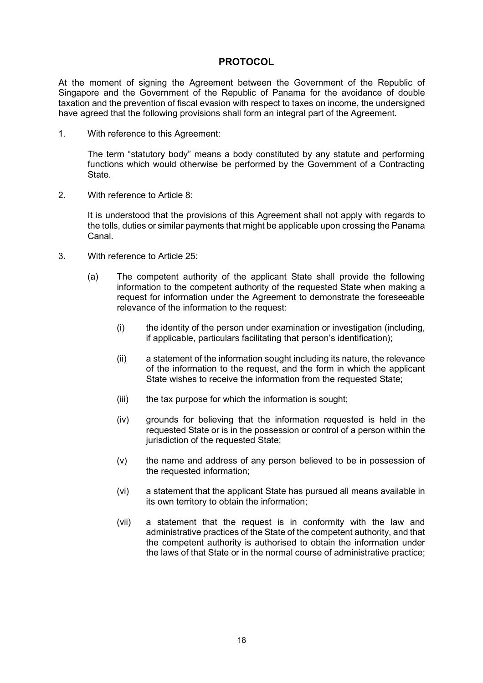## **PROTOCOL**

At the moment of signing the Agreement between the Government of the Republic of Singapore and the Government of the Republic of Panama for the avoidance of double taxation and the prevention of fiscal evasion with respect to taxes on income, the undersigned have agreed that the following provisions shall form an integral part of the Agreement.

1. With reference to this Agreement:

The term "statutory body" means a body constituted by any statute and performing functions which would otherwise be performed by the Government of a Contracting **State** 

2. With reference to Article 8:

It is understood that the provisions of this Agreement shall not apply with regards to the tolls, duties or similar payments that might be applicable upon crossing the Panama Canal.

- 3. With reference to Article 25:
	- (a) The competent authority of the applicant State shall provide the following information to the competent authority of the requested State when making a request for information under the Agreement to demonstrate the foreseeable relevance of the information to the request:
		- (i) the identity of the person under examination or investigation (including, if applicable, particulars facilitating that person's identification);
		- (ii) a statement of the information sought including its nature, the relevance of the information to the request, and the form in which the applicant State wishes to receive the information from the requested State;
		- (iii) the tax purpose for which the information is sought;
		- (iv) grounds for believing that the information requested is held in the requested State or is in the possession or control of a person within the jurisdiction of the requested State;
		- (v) the name and address of any person believed to be in possession of the requested information;
		- (vi) a statement that the applicant State has pursued all means available in its own territory to obtain the information;
		- (vii) a statement that the request is in conformity with the law and administrative practices of the State of the competent authority, and that the competent authority is authorised to obtain the information under the laws of that State or in the normal course of administrative practice;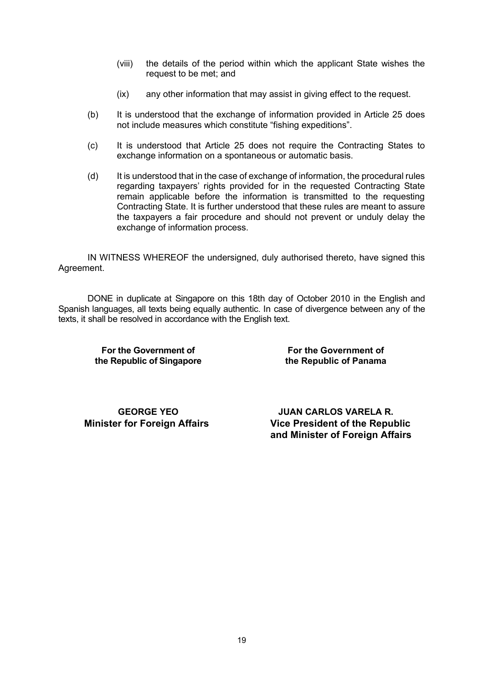- (viii) the details of the period within which the applicant State wishes the request to be met; and
- (ix) any other information that may assist in giving effect to the request.
- (b) It is understood that the exchange of information provided in Article 25 does not include measures which constitute "fishing expeditions".
- (c) It is understood that Article 25 does not require the Contracting States to exchange information on a spontaneous or automatic basis.
- (d) It is understood that in the case of exchange of information, the procedural rules regarding taxpayers' rights provided for in the requested Contracting State remain applicable before the information is transmitted to the requesting Contracting State. It is further understood that these rules are meant to assure the taxpayers a fair procedure and should not prevent or unduly delay the exchange of information process.

IN WITNESS WHEREOF the undersigned, duly authorised thereto, have signed this Agreement.

DONE in duplicate at Singapore on this 18th day of October 2010 in the English and Spanish languages, all texts being equally authentic. In case of divergence between any of the texts, it shall be resolved in accordance with the English text.

**For the Government of the Republic of Singapore**

**For the Government of the Republic of Panama**

**GEORGE YEO**

**JUAN CARLOS VARELA R. Minister for Foreign Affairs Vice President of the Republic and Minister of Foreign Affairs**